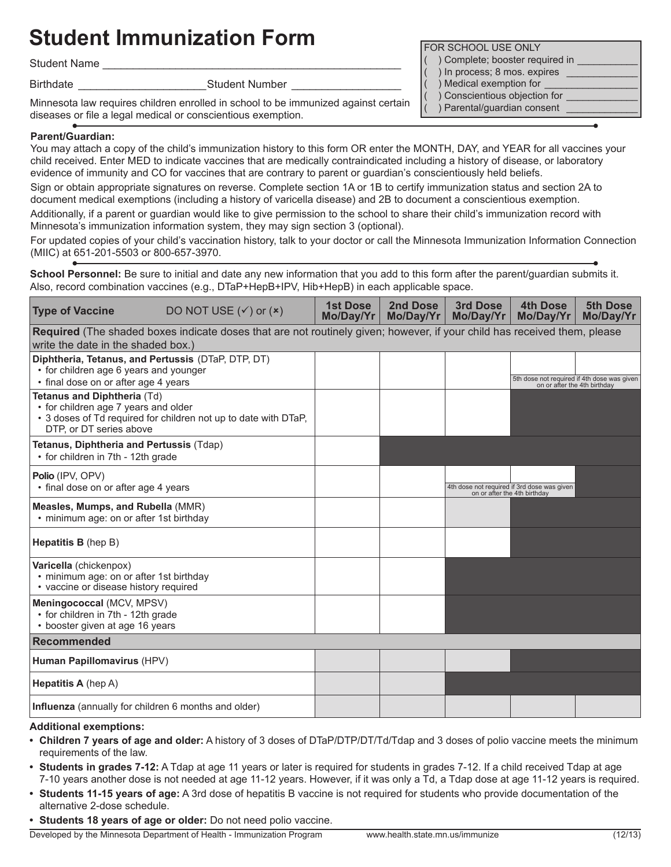## **Student Immunization Form Form Form FILM STANGE ONLY**

Student Name

Birthdate **Example 2018** Student Number 2019

Minnesota law requires children enrolled in school to be immunized against certain diseases or file a legal medical or conscientious exemption.

## **Parent/Guardian:**

You may attach a copy of the child's immunization history to this form OR enter the MONTH, DAY, and YEAR for all vaccines your child received. Enter MED to indicate vaccines that are medically contraindicated including a history of disease, or laboratory evidence of immunity and CO for vaccines that are contrary to parent or guardian's conscientiously held beliefs.

Sign or obtain appropriate signatures on reverse. Complete section 1A or 1B to certify immunization status and section 2A to document medical exemptions (including a history of varicella disease) and 2B to document a conscientious exemption.

Additionally, if a parent or guardian would like to give permission to the school to share their child's immunization record with Minnesota's immunization information system, they may sign section 3 (optional).

For updated copies of your child's vaccination history, talk to your doctor or call the Minnesota Immunization Information Connection (MIIC) at 651-201-5503 or 800-657-3970.

School Personnel: Be sure to initial and date any new information that you add to this form after the parent/guardian submits it. Also, record combination vaccines (e.g., DTaP+HepB+IPV, Hib+HepB) in each applicable space.

| <b>Type of Vaccine</b>                                                                                                                                            | DO NOT USE $({\checkmark})$ or $({\checkmark})$ | <b>1st Dose</b><br>Mo/Day/Yr | <b>2nd Dose</b><br>Mo/Day/Yr | 3rd Dose<br>Mo/Day/Yr        | <b>4th Dose</b><br>Mo/Day/Yr                                                | <b>5th Dose</b><br>Mo/Day/Yr |  |
|-------------------------------------------------------------------------------------------------------------------------------------------------------------------|-------------------------------------------------|------------------------------|------------------------------|------------------------------|-----------------------------------------------------------------------------|------------------------------|--|
| Required (The shaded boxes indicate doses that are not routinely given; however, if your child has received them, please<br>write the date in the shaded box.)    |                                                 |                              |                              |                              |                                                                             |                              |  |
| Diphtheria, Tetanus, and Pertussis (DTaP, DTP, DT)<br>• for children age 6 years and younger<br>• final dose on or after age 4 years                              |                                                 |                              |                              |                              | 5th dose not required if 4th dose was given<br>on or after the 4th birthday |                              |  |
| Tetanus and Diphtheria (Td)<br>• for children age 7 years and older<br>• 3 doses of Td required for children not up to date with DTaP,<br>DTP, or DT series above |                                                 |                              |                              |                              |                                                                             |                              |  |
| Tetanus, Diphtheria and Pertussis (Tdap)<br>• for children in 7th - 12th grade                                                                                    |                                                 |                              |                              |                              |                                                                             |                              |  |
| <b>Polio (IPV, OPV)</b><br>• final dose on or after age 4 years                                                                                                   |                                                 |                              |                              | on or after the 4th birthday | 4th dose not required if 3rd dose was given                                 |                              |  |
| Measles, Mumps, and Rubella (MMR)<br>• minimum age: on or after 1st birthday                                                                                      |                                                 |                              |                              |                              |                                                                             |                              |  |
| <b>Hepatitis B</b> (hep B)                                                                                                                                        |                                                 |                              |                              |                              |                                                                             |                              |  |
| Varicella (chickenpox)<br>· minimum age: on or after 1st birthday<br>• vaccine or disease history required                                                        |                                                 |                              |                              |                              |                                                                             |                              |  |
| Meningococcal (MCV, MPSV)<br>• for children in 7th - 12th grade<br>• booster given at age 16 years                                                                |                                                 |                              |                              |                              |                                                                             |                              |  |
| Recommended                                                                                                                                                       |                                                 |                              |                              |                              |                                                                             |                              |  |
| Human Papillomavirus (HPV)                                                                                                                                        |                                                 |                              |                              |                              |                                                                             |                              |  |
| <b>Hepatitis A</b> (hep A)                                                                                                                                        |                                                 |                              |                              |                              |                                                                             |                              |  |
| Influenza (annually for children 6 months and older)                                                                                                              |                                                 |                              |                              |                              |                                                                             |                              |  |

## **Additional exemptions:**

- **• Children 7 years of age and older:** A history of 3 doses of DTaP/DTP/DT/Td/Tdap and 3 doses of polio vaccine meets the minimum requirements of the law.
- **• Students in grades 7-12:** A Tdap at age 11 years or later is required for students in grades 7-12. If a child received Tdap at age 7-10 years another dose is not needed at age 11-12 years. However, if it was only a Td, a Tdap dose at age 11-12 years is required.
- **• Students 11-15 years of age:** A 3rd dose of hepatitis B vaccine is not required for students who provide documentation of the alternative 2-dose schedule.
- **• Students 18 years of age or older:** Do not need polio vaccine.

Developed by the Minnesota Department of Health - Immunization Program www.health.state.mn.us/immunize (12/13)

- ) Complete; booster required in
- ) In process; 8 mos. expires
- ) Medical exemption for
- ) Conscientious objection for
- ) Parental/guardian consent